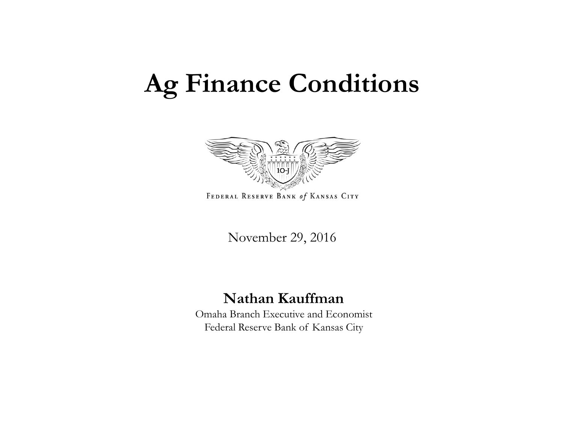## **Ag Finance Conditions**



FEDERAL RESERVE BANK of KANSAS CITY

November 29, 2016

#### **Nathan Kauffman**

Omaha Branch Executive and Economist Federal Reserve Bank of Kansas City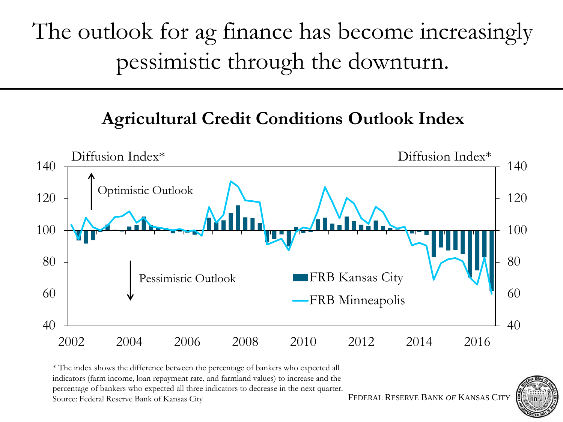The outlook for ag finance has become increasingly pessimistic through the downturn.

### **Agricultural Credit Conditions Outlook Index**



\* The index shows the difference between the percentage of bankers who expected all indicators (farm income, loan repayment rate, and farmland values) to increase and the percentage of bankers who expected all three indicators to decrease in the next quarter. Source: Federal Reserve Bank of Kansas City

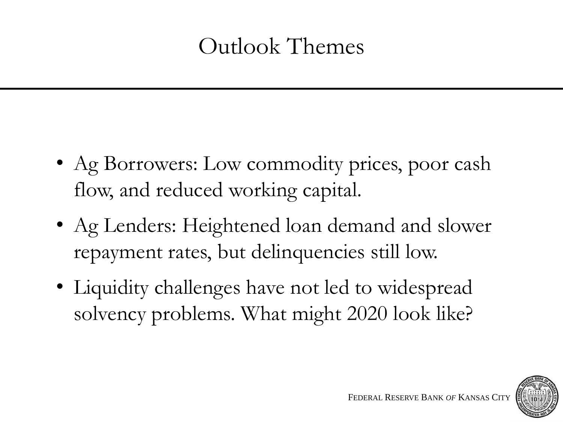## Outlook Themes

- Ag Borrowers: Low commodity prices, poor cash flow, and reduced working capital.
- Ag Lenders: Heightened loan demand and slower repayment rates, but delinquencies still low.
- Liquidity challenges have not led to widespread solvency problems. What might 2020 look like?

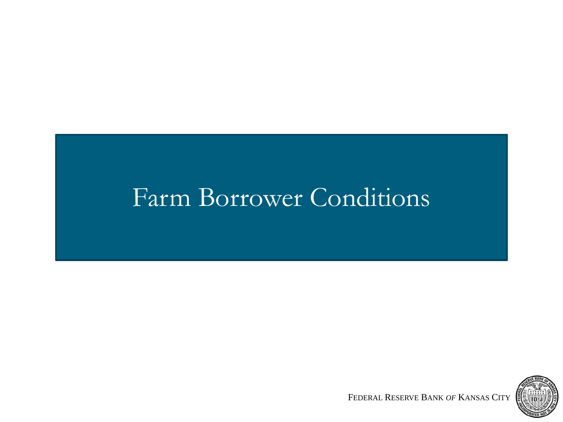## Farm Borrower Conditions

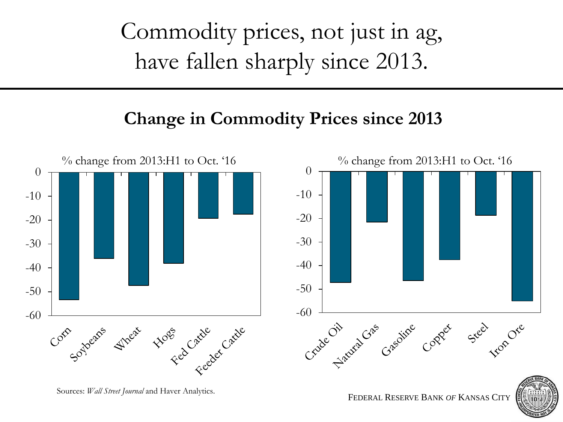Commodity prices, not just in ag, have fallen sharply since 2013.

### **Change in Commodity Prices since 2013**



Sources: *Wall Street Journal* and Haver Analytics.

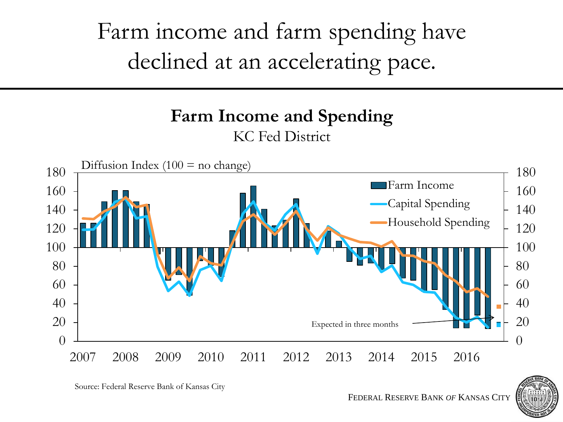Farm income and farm spending have declined at an accelerating pace.

#### **Farm Income and Spending** KC Fed District





Source: Federal Reserve Bank of Kansas City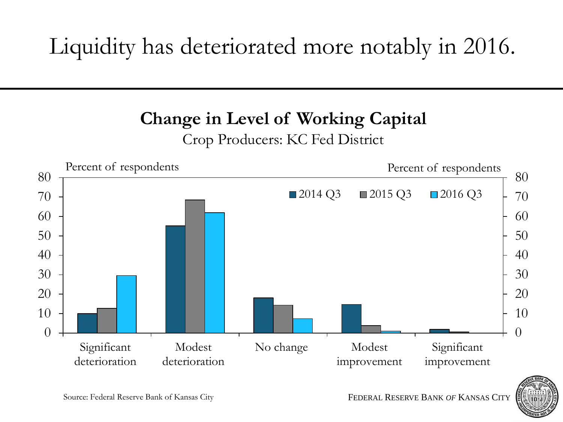## Liquidity has deteriorated more notably in 2016.

## **Change in Level of Working Capital**

#### Crop Producers: KC Fed District



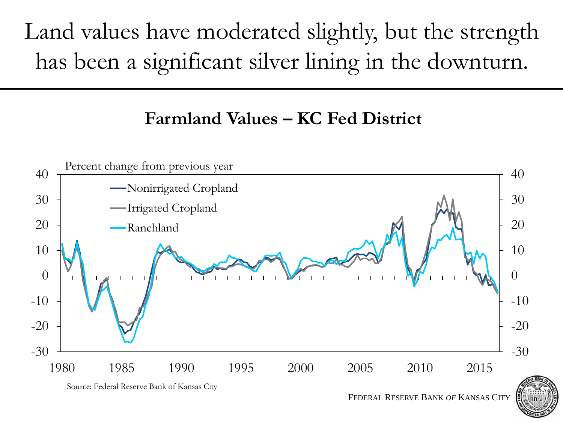Land values have moderated slightly, but the strength has been a significant silver lining in the downturn.

#### **Farmland Values – KC Fed District**



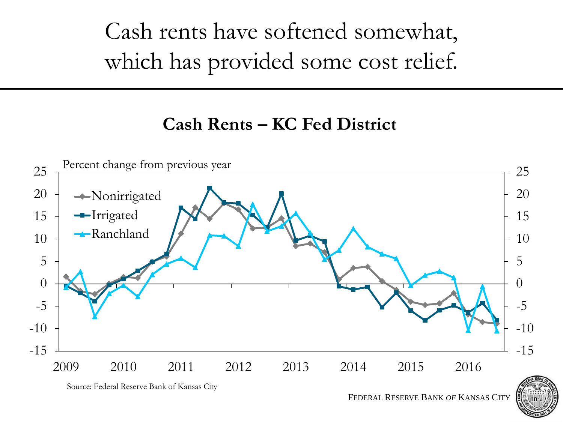# Cash rents have softened somewhat, which has provided some cost relief.

#### **Cash Rents – KC Fed District**



Source: Federal Reserve Bank of Kansas City

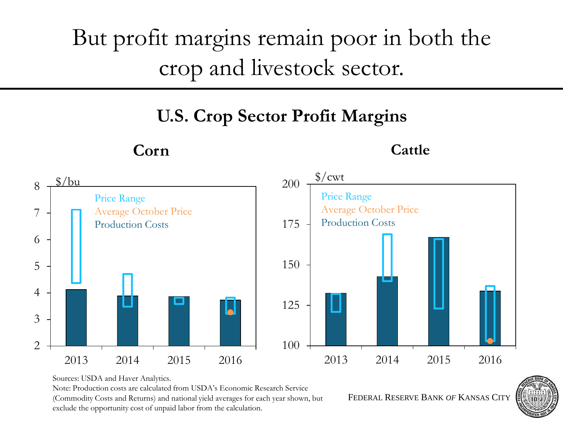## But profit margins remain poor in both the crop and livestock sector.

## **U.S. Crop Sector Profit Margins**



**Corn**

**Cattle**

Sources: USDA and Haver Analytics.

Note: Production costs are calculated from USDA's Economic Research Service

(Commodity Costs and Returns) and national yield averages for each year shown, but exclude the opportunity cost of unpaid labor from the calculation.

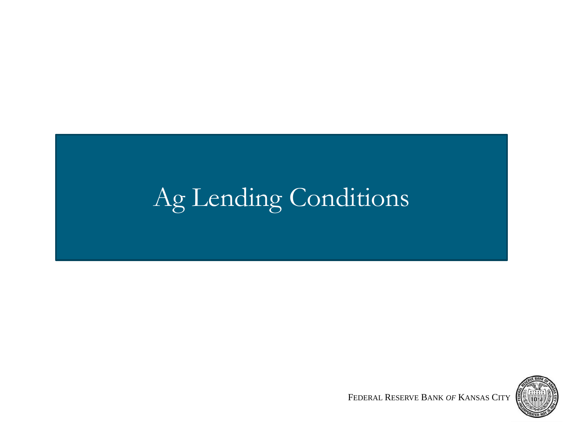# Ag Lending Conditions

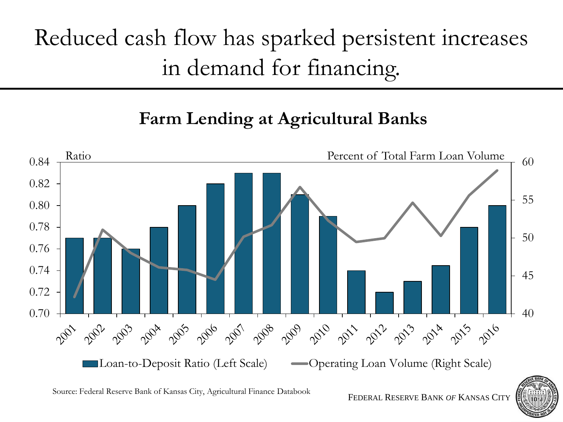## Reduced cash flow has sparked persistent increases in demand for financing.

## **Farm Lending at Agricultural Banks**



Source: Federal Reserve Bank of Kansas City, Agricultural Finance Databook

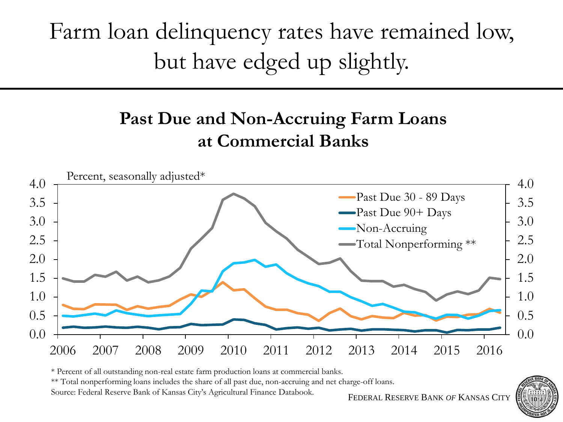# Farm loan delinquency rates have remained low, but have edged up slightly.

## **Past Due and Non-Accruing Farm Loans at Commercial Banks**



\* Percent of all outstanding non-real estate farm production loans at commercial banks.

\*\* Total nonperforming loans includes the share of all past due, non-accruing and net charge-off loans.

Source: Federal Reserve Bank of Kansas City's Agricultural Finance Databook.

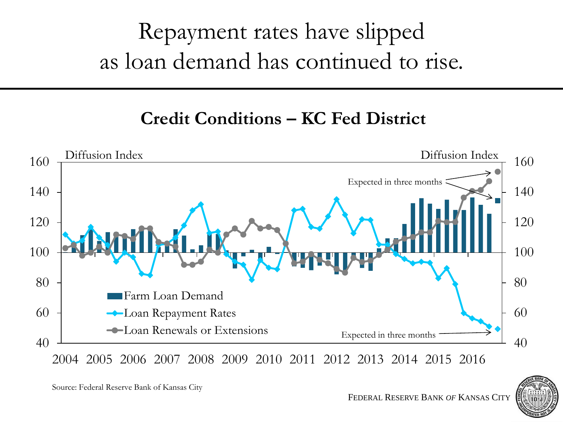## Repayment rates have slipped as loan demand has continued to rise.

## **Credit Conditions – KC Fed District**



Source: Federal Reserve Bank of Kansas City

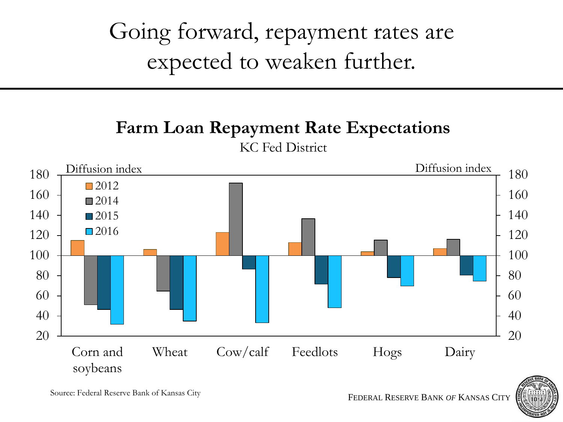## Going forward, repayment rates are expected to weaken further.

## **Farm Loan Repayment Rate Expectations**



KC Fed District

Source: Federal Reserve Bank of Kansas City

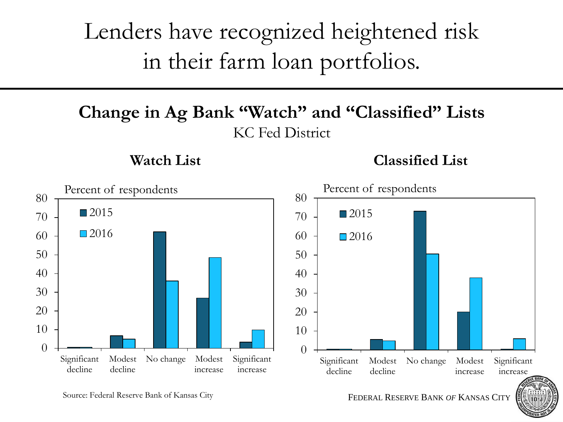## Lenders have recognized heightened risk in their farm loan portfolios.

#### **Change in Ag Bank "Watch" and "Classified" Lists** KC Fed District

#### **Watch List**

**Classified List**



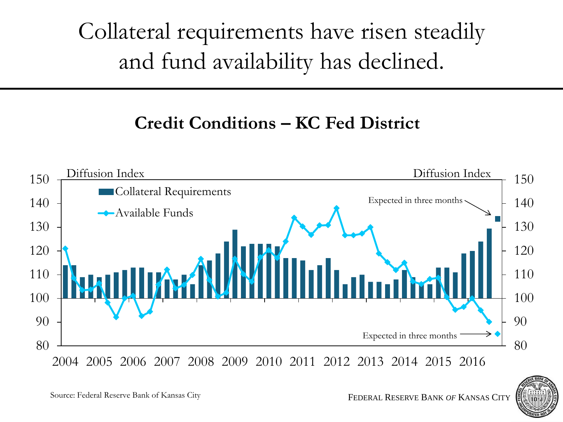# Collateral requirements have risen steadily and fund availability has declined.

#### **Credit Conditions – KC Fed District**





Source: Federal Reserve Bank of Kansas City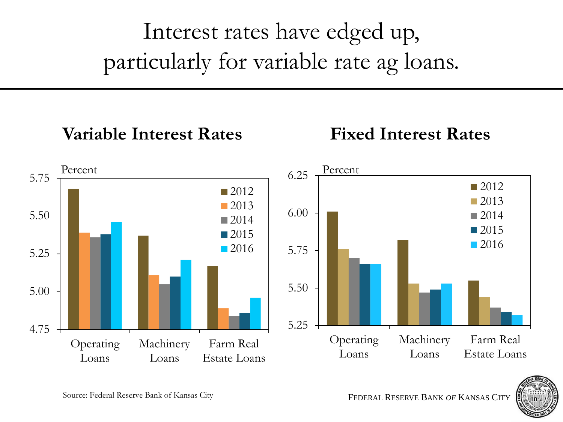# Interest rates have edged up, particularly for variable rate ag loans.

#### 4.75 5.00 5.25 5.50 5.75 Operating Loans Machinery Loans Farm Real Estate Loans ■2012 2013  $\Box$  2014 **2015 2016** Percent 5.25 5.50 5.75 6.00 6.25 Operating Loans Machinery Loans Farm Real Estate Loans 2012 ■2013  $\blacksquare$  2014  $\Box$  2015 ■2016 Percent **Variable Interest Rates Fixed Interest Rates**

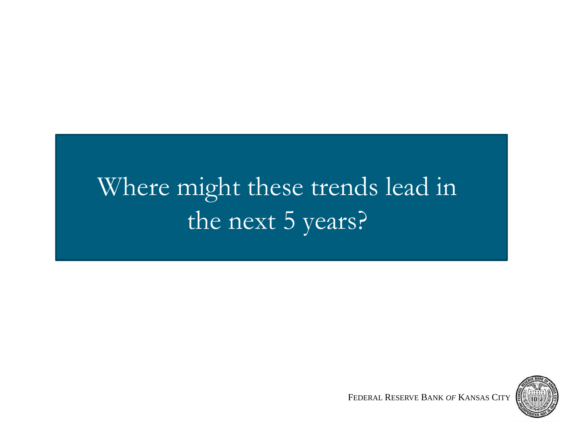# Where might these trends lead in the next 5 years?

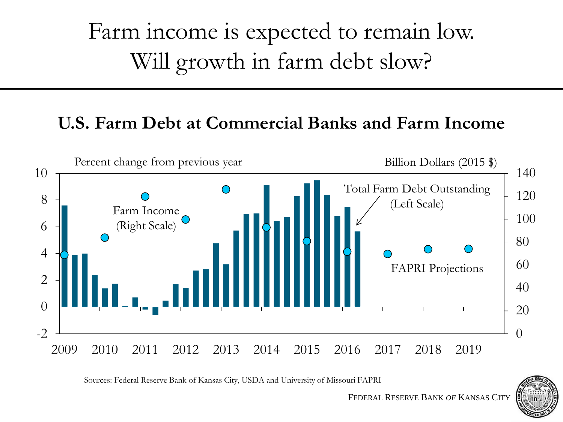Farm income is expected to remain low. Will growth in farm debt slow?

#### **U.S. Farm Debt at Commercial Banks and Farm Income**



Sources: Federal Reserve Bank of Kansas City, USDA and University of Missouri FAPRI

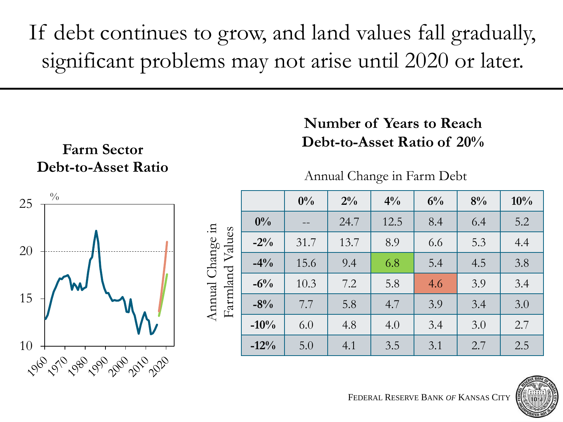If debt continues to grow, and land values fall gradually, significant problems may not arise until 2020 or later.

#### **Farm Sector Debt-to-Asset Ratio**

#### **Number of Years to Reach Debt-to-Asset Ratio of 20%**

Annual Change in Farm Debt



| $\frac{0}{0}$ |                                           |        | $0\%$ | $2\%$ | $4\%$ | $6\%$ | 8%  | 10% |
|---------------|-------------------------------------------|--------|-------|-------|-------|-------|-----|-----|
| W             | Change in<br>Values<br>Farmland<br>Annual | $0\%$  | $- -$ | 24.7  | 12.5  | 8.4   | 6.4 | 5.2 |
|               |                                           | $-2\%$ | 31.7  | 13.7  | 8.9   | 6.6   | 5.3 | 4.4 |
|               |                                           | $-4\%$ | 15.6  | 9.4   | 6.8   | 5.4   | 4.5 | 3.8 |
|               |                                           | $-6\%$ | 10.3  | 7.2   | 5.8   | 4.6   | 3.9 | 3.4 |
|               |                                           | $-8%$  | 7.7   | 5.8   | 4.7   | 3.9   | 3.4 | 3.0 |
|               |                                           | $-10%$ | 6.0   | 4.8   | 4.0   | 3.4   | 3.0 | 2.7 |
|               |                                           | $-12%$ | 5.0   | 4.1   | 3.5   | 3.1   | 2.7 | 2.5 |

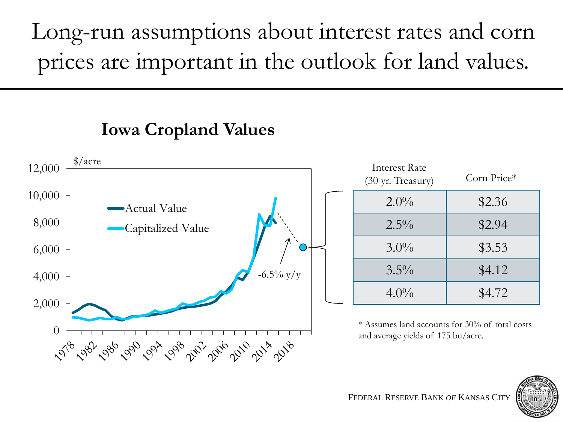Long-run assumptions about interest rates and corn prices are important in the outlook for land values.

## **Iowa Cropland Values**



| \$4.72                          |
|---------------------------------|
| accounts for 30% of total costs |
| ds of 175 bu/acre.              |
|                                 |

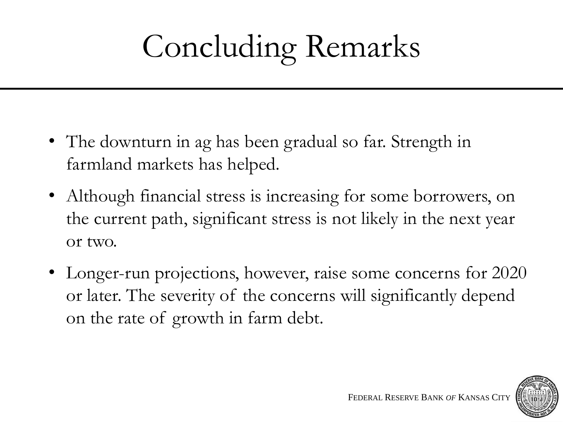# Concluding Remarks

- The downturn in ag has been gradual so far. Strength in farmland markets has helped.
- Although financial stress is increasing for some borrowers, on the current path, significant stress is not likely in the next year or two.
- Longer-run projections, however, raise some concerns for 2020 or later. The severity of the concerns will significantly depend on the rate of growth in farm debt.